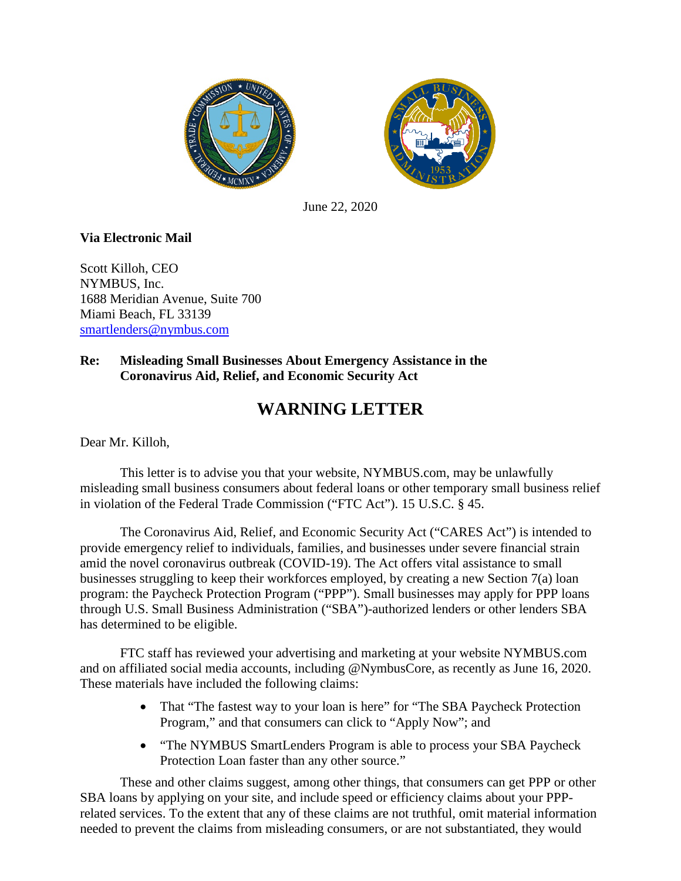



June 22, 2020

## **Via Electronic Mail**

Scott Killoh, CEO NYMBUS, Inc. 1688 Meridian Avenue, Suite 700 Miami Beach, FL 33139 [smartlenders@nymbus.com](mailto:smartlenders@nymbus.com)

## **Re: Misleading Small Businesses About Emergency Assistance in the Coronavirus Aid, Relief, and Economic Security Act**

## **WARNING LETTER**

Dear Mr. Killoh,

This letter is to advise you that your website, NYMBUS.com, may be unlawfully misleading small business consumers about federal loans or other temporary small business relief in violation of the Federal Trade Commission ("FTC Act"). 15 U.S.C. § 45.

The Coronavirus Aid, Relief, and Economic Security Act ("CARES Act") is intended to provide emergency relief to individuals, families, and businesses under severe financial strain amid the novel coronavirus outbreak (COVID-19). The Act offers vital assistance to small businesses struggling to keep their workforces employed, by creating a new Section 7(a) loan program: the Paycheck Protection Program ("PPP"). Small businesses may apply for PPP loans through U.S. Small Business Administration ("SBA")-authorized lenders or other lenders SBA has determined to be eligible.

FTC staff has reviewed your advertising and marketing at your website NYMBUS.com and on affiliated social media accounts, including @NymbusCore, as recently as June 16, 2020. These materials have included the following claims:

- That "The fastest way to your loan is here" for "The SBA Paycheck Protection" Program," and that consumers can click to "Apply Now"; and
- "The NYMBUS SmartLenders Program is able to process your SBA Paycheck Protection Loan faster than any other source."

These and other claims suggest, among other things, that consumers can get PPP or other SBA loans by applying on your site, and include speed or efficiency claims about your PPPrelated services. To the extent that any of these claims are not truthful, omit material information needed to prevent the claims from misleading consumers, or are not substantiated, they would